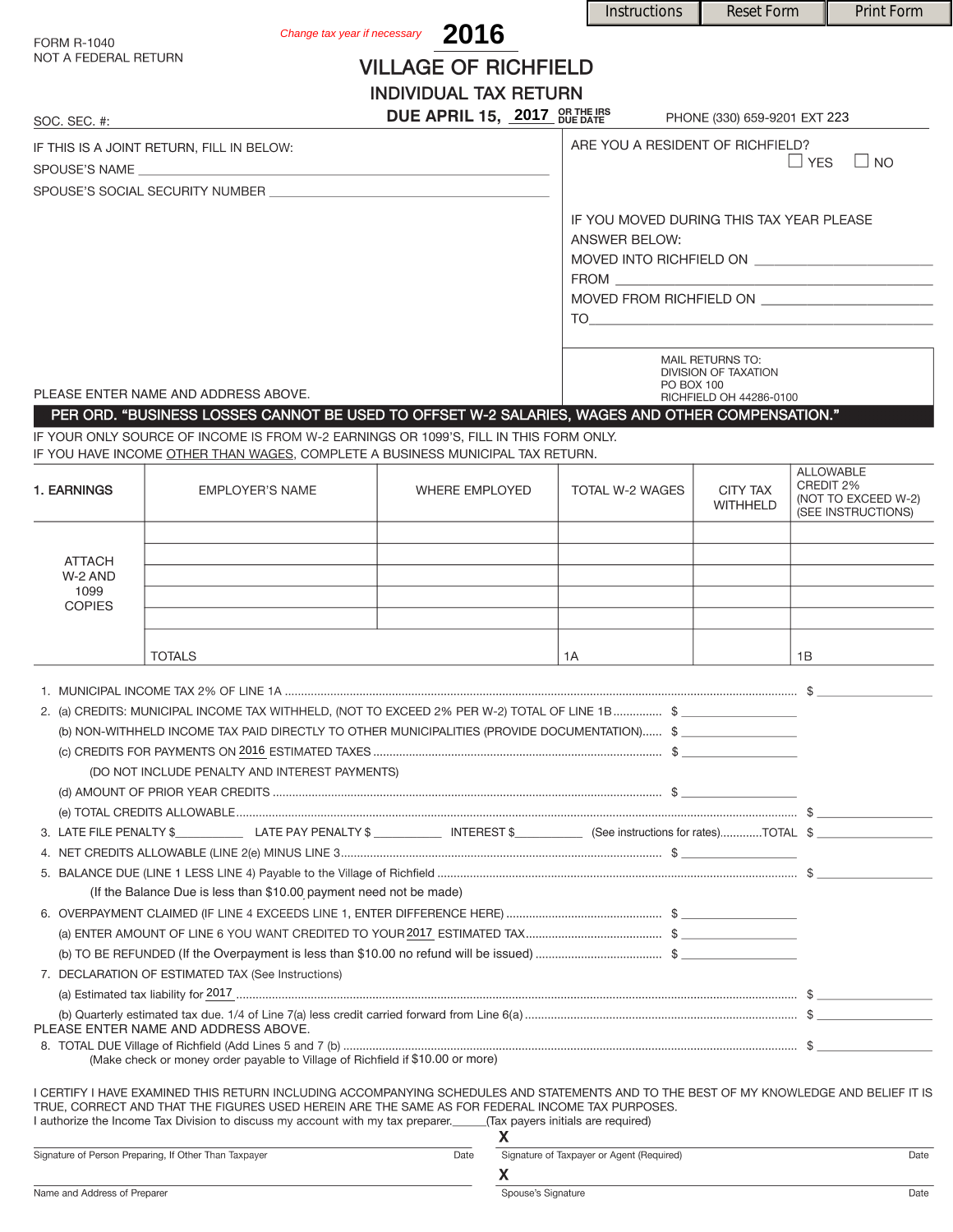|                                                                                                                                                                                                                                                                                                                                                                       |                                   |                          | <b>Instructions</b>                                                                                                                                                                                                                                                                                                                                                                                                    | <b>Reset Form</b>            |           | <b>Print Form</b>                         |
|-----------------------------------------------------------------------------------------------------------------------------------------------------------------------------------------------------------------------------------------------------------------------------------------------------------------------------------------------------------------------|-----------------------------------|--------------------------|------------------------------------------------------------------------------------------------------------------------------------------------------------------------------------------------------------------------------------------------------------------------------------------------------------------------------------------------------------------------------------------------------------------------|------------------------------|-----------|-------------------------------------------|
| <b>FORM R-1040</b>                                                                                                                                                                                                                                                                                                                                                    | Change tax year if necessary 2016 |                          |                                                                                                                                                                                                                                                                                                                                                                                                                        |                              |           |                                           |
| NOT A FEDERAL RETURN                                                                                                                                                                                                                                                                                                                                                  | <b>VILLAGE OF RICHFIELD</b>       |                          |                                                                                                                                                                                                                                                                                                                                                                                                                        |                              |           |                                           |
|                                                                                                                                                                                                                                                                                                                                                                       | <b>INDIVIDUAL TAX RETURN</b>      |                          |                                                                                                                                                                                                                                                                                                                                                                                                                        |                              |           |                                           |
|                                                                                                                                                                                                                                                                                                                                                                       | DUE APRIL 15, 2017 OR THE IRS     |                          |                                                                                                                                                                                                                                                                                                                                                                                                                        | PHONE (330) 659-9201 EXT 223 |           |                                           |
| SOC. SEC. #:                                                                                                                                                                                                                                                                                                                                                          |                                   |                          |                                                                                                                                                                                                                                                                                                                                                                                                                        |                              |           |                                           |
| IF THIS IS A JOINT RETURN, FILL IN BELOW:                                                                                                                                                                                                                                                                                                                             |                                   |                          | ARE YOU A RESIDENT OF RICHFIELD?<br>$\Box$ YES<br>$\Box$ NO                                                                                                                                                                                                                                                                                                                                                            |                              |           |                                           |
| SPOUSE'S SOCIAL SECURITY NUMBER                                                                                                                                                                                                                                                                                                                                       |                                   |                          |                                                                                                                                                                                                                                                                                                                                                                                                                        |                              |           |                                           |
|                                                                                                                                                                                                                                                                                                                                                                       |                                   |                          |                                                                                                                                                                                                                                                                                                                                                                                                                        |                              |           |                                           |
|                                                                                                                                                                                                                                                                                                                                                                       |                                   |                          | IF YOU MOVED DURING THIS TAX YEAR PLEASE<br>ANSWER BELOW:                                                                                                                                                                                                                                                                                                                                                              |                              |           |                                           |
|                                                                                                                                                                                                                                                                                                                                                                       |                                   |                          |                                                                                                                                                                                                                                                                                                                                                                                                                        |                              |           |                                           |
|                                                                                                                                                                                                                                                                                                                                                                       |                                   |                          |                                                                                                                                                                                                                                                                                                                                                                                                                        |                              |           |                                           |
|                                                                                                                                                                                                                                                                                                                                                                       |                                   |                          | MOVED FROM RICHFIELD ON ________________________<br>$\begin{picture}(180,10) \put(0,0){\vector(1,0){100}} \put(15,0){\vector(1,0){100}} \put(15,0){\vector(1,0){100}} \put(15,0){\vector(1,0){100}} \put(15,0){\vector(1,0){100}} \put(15,0){\vector(1,0){100}} \put(15,0){\vector(1,0){100}} \put(15,0){\vector(1,0){100}} \put(15,0){\vector(1,0){100}} \put(15,0){\vector(1,0){100}} \put(15,0){\vector(1,0){100}}$ |                              |           |                                           |
|                                                                                                                                                                                                                                                                                                                                                                       |                                   |                          |                                                                                                                                                                                                                                                                                                                                                                                                                        |                              |           |                                           |
|                                                                                                                                                                                                                                                                                                                                                                       |                                   |                          | MAIL RETURNS TO:                                                                                                                                                                                                                                                                                                                                                                                                       |                              |           |                                           |
|                                                                                                                                                                                                                                                                                                                                                                       |                                   |                          | <b>DIVISION OF TAXATION</b><br>PO BOX 100                                                                                                                                                                                                                                                                                                                                                                              |                              |           |                                           |
| PLEASE ENTER NAME AND ADDRESS ABOVE.<br>PER ORD. "BUSINESS LOSSES CANNOT BE USED TO OFFSET W-2 SALARIES, WAGES AND OTHER COMPENSATION."                                                                                                                                                                                                                               |                                   |                          |                                                                                                                                                                                                                                                                                                                                                                                                                        | RICHFIELD OH 44286-0100      |           |                                           |
| IF YOUR ONLY SOURCE OF INCOME IS FROM W-2 EARNINGS OR 1099'S. FILL IN THIS FORM ONLY.                                                                                                                                                                                                                                                                                 |                                   |                          |                                                                                                                                                                                                                                                                                                                                                                                                                        |                              |           |                                           |
| IF YOU HAVE INCOME OTHER THAN WAGES, COMPLETE A BUSINESS MUNICIPAL TAX RETURN.                                                                                                                                                                                                                                                                                        |                                   |                          |                                                                                                                                                                                                                                                                                                                                                                                                                        |                              |           |                                           |
| 1. EARNINGS<br><b>EMPLOYER'S NAME</b>                                                                                                                                                                                                                                                                                                                                 | <b>WHERE EMPLOYED</b>             |                          | TOTAL W-2 WAGES                                                                                                                                                                                                                                                                                                                                                                                                        | <b>CITY TAX</b>              | CREDIT 2% | <b>ALLOWABLE</b>                          |
|                                                                                                                                                                                                                                                                                                                                                                       |                                   |                          |                                                                                                                                                                                                                                                                                                                                                                                                                        | <b>WITHHELD</b>              |           | (NOT TO EXCEED W-2)<br>(SEE INSTRUCTIONS) |
|                                                                                                                                                                                                                                                                                                                                                                       |                                   |                          |                                                                                                                                                                                                                                                                                                                                                                                                                        |                              |           |                                           |
| <b>ATTACH</b>                                                                                                                                                                                                                                                                                                                                                         |                                   |                          |                                                                                                                                                                                                                                                                                                                                                                                                                        |                              |           |                                           |
| W-2 AND<br>1099                                                                                                                                                                                                                                                                                                                                                       |                                   |                          |                                                                                                                                                                                                                                                                                                                                                                                                                        |                              |           |                                           |
| <b>COPIES</b>                                                                                                                                                                                                                                                                                                                                                         |                                   |                          |                                                                                                                                                                                                                                                                                                                                                                                                                        |                              |           |                                           |
|                                                                                                                                                                                                                                                                                                                                                                       |                                   |                          |                                                                                                                                                                                                                                                                                                                                                                                                                        |                              |           |                                           |
| <b>TOTALS</b>                                                                                                                                                                                                                                                                                                                                                         |                                   | 1A                       |                                                                                                                                                                                                                                                                                                                                                                                                                        |                              | 1B        |                                           |
|                                                                                                                                                                                                                                                                                                                                                                       |                                   |                          |                                                                                                                                                                                                                                                                                                                                                                                                                        |                              |           |                                           |
| 2. (a) CREDITS: MUNICIPAL INCOME TAX WITHHELD, (NOT TO EXCEED 2% PER W-2) TOTAL OF LINE 1B  \$                                                                                                                                                                                                                                                                        |                                   |                          |                                                                                                                                                                                                                                                                                                                                                                                                                        |                              |           |                                           |
| (b) NON-WITHHELD INCOME TAX PAID DIRECTLY TO OTHER MUNICIPALITIES (PROVIDE DOCUMENTATION) \$                                                                                                                                                                                                                                                                          |                                   |                          |                                                                                                                                                                                                                                                                                                                                                                                                                        |                              |           |                                           |
|                                                                                                                                                                                                                                                                                                                                                                       |                                   |                          |                                                                                                                                                                                                                                                                                                                                                                                                                        |                              |           |                                           |
| (DO NOT INCLUDE PENALTY AND INTEREST PAYMENTS)                                                                                                                                                                                                                                                                                                                        |                                   |                          |                                                                                                                                                                                                                                                                                                                                                                                                                        |                              |           |                                           |
|                                                                                                                                                                                                                                                                                                                                                                       |                                   |                          |                                                                                                                                                                                                                                                                                                                                                                                                                        |                              |           |                                           |
|                                                                                                                                                                                                                                                                                                                                                                       |                                   |                          |                                                                                                                                                                                                                                                                                                                                                                                                                        |                              |           |                                           |
|                                                                                                                                                                                                                                                                                                                                                                       |                                   |                          |                                                                                                                                                                                                                                                                                                                                                                                                                        |                              |           |                                           |
|                                                                                                                                                                                                                                                                                                                                                                       |                                   |                          |                                                                                                                                                                                                                                                                                                                                                                                                                        |                              |           |                                           |
| (If the Balance Due is less than \$10.00 payment need not be made)                                                                                                                                                                                                                                                                                                    |                                   |                          |                                                                                                                                                                                                                                                                                                                                                                                                                        |                              |           |                                           |
|                                                                                                                                                                                                                                                                                                                                                                       |                                   |                          |                                                                                                                                                                                                                                                                                                                                                                                                                        |                              |           |                                           |
|                                                                                                                                                                                                                                                                                                                                                                       |                                   |                          |                                                                                                                                                                                                                                                                                                                                                                                                                        |                              |           |                                           |
| 7. DECLARATION OF ESTIMATED TAX (See Instructions)                                                                                                                                                                                                                                                                                                                    |                                   |                          |                                                                                                                                                                                                                                                                                                                                                                                                                        |                              |           |                                           |
|                                                                                                                                                                                                                                                                                                                                                                       |                                   |                          |                                                                                                                                                                                                                                                                                                                                                                                                                        |                              |           |                                           |
| PLEASE ENTER NAME AND ADDRESS ABOVE.                                                                                                                                                                                                                                                                                                                                  |                                   |                          |                                                                                                                                                                                                                                                                                                                                                                                                                        |                              |           |                                           |
| (Make check or money order payable to Village of Richfield if \$10.00 or more)                                                                                                                                                                                                                                                                                        |                                   |                          |                                                                                                                                                                                                                                                                                                                                                                                                                        |                              |           |                                           |
|                                                                                                                                                                                                                                                                                                                                                                       |                                   |                          |                                                                                                                                                                                                                                                                                                                                                                                                                        |                              |           |                                           |
| I CERTIFY I HAVE EXAMINED THIS RETURN INCLUDING ACCOMPANYING SCHEDULES AND STATEMENTS AND TO THE BEST OF MY KNOWLEDGE AND BELIEF IT IS<br>TRUE, CORRECT AND THAT THE FIGURES USED HEREIN ARE THE SAME AS FOR FEDERAL INCOME TAX PURPOSES.<br>I authorize the Income Tax Division to discuss my account with my tax preparer. ______(Tax payers initials are required) |                                   |                          |                                                                                                                                                                                                                                                                                                                                                                                                                        |                              |           |                                           |
|                                                                                                                                                                                                                                                                                                                                                                       |                                   | X.                       |                                                                                                                                                                                                                                                                                                                                                                                                                        |                              |           |                                           |
| Signature of Person Preparing, If Other Than Taxpayer                                                                                                                                                                                                                                                                                                                 | Date                              |                          | Signature of Taxpayer or Agent (Required)                                                                                                                                                                                                                                                                                                                                                                              |                              |           | Date                                      |
| Name and Address of Preparer                                                                                                                                                                                                                                                                                                                                          |                                   | X.<br>Spouse's Signature |                                                                                                                                                                                                                                                                                                                                                                                                                        |                              |           | Date                                      |